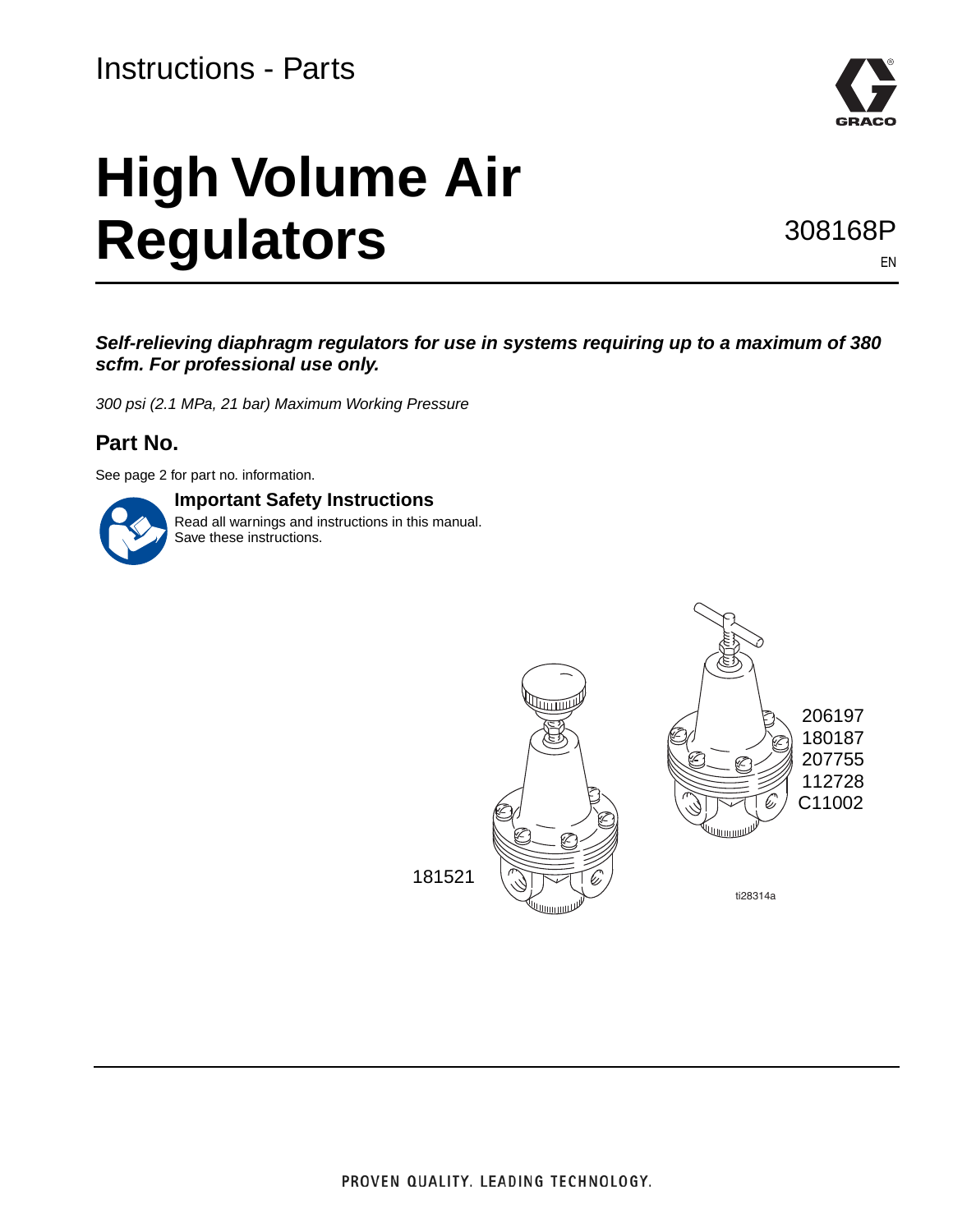

# **High Volume Air Regulators**

308168P

EN

*Self-relieving diaphragm regulators for use in systems requiring up to a maximum of 380 scfm. For professional use only.*

*300 psi (2.1 MPa, 21 bar) Maximum Working Pressure*

#### **Part No.**

See page [2](#page-1-0) for part no. information.

#### **Important Safety Instructions**

Read all warnings and instructions in this manual. Save these instructions.

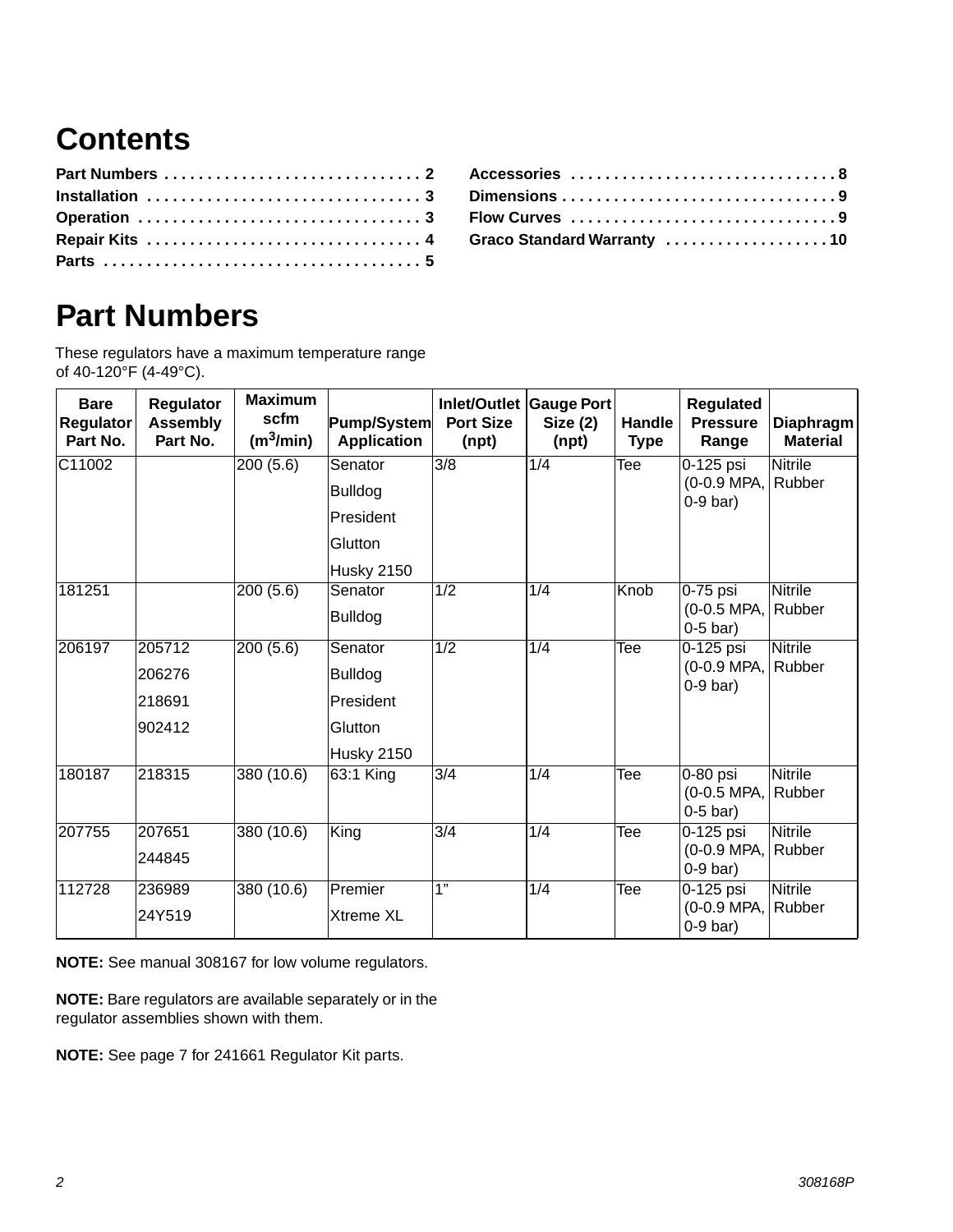## **Contents**

| Accessories 8              |
|----------------------------|
| Dimensions 9               |
| Flow Curves 9              |
| Graco Standard Warranty 10 |

### <span id="page-1-0"></span>**Part Numbers**

These regulators have a maximum temperature range of 40-120°F (4-49°C).

| <b>Bare</b><br>Regulator<br>Part No. | Regulator<br><b>Assembly</b><br>Part No. | <b>Maximum</b><br>scfm<br>(m <sup>3</sup> /min) | Pump/System<br><b>Application</b> | <b>Port Size</b><br>(npt) | Inlet/Outlet Gauge Port<br>Size(2)<br>(npt) | Handle<br><b>Type</b>   | Regulated<br><b>Pressure</b><br>Range   | <b>Diaphragm</b><br><b>Material</b> |
|--------------------------------------|------------------------------------------|-------------------------------------------------|-----------------------------------|---------------------------|---------------------------------------------|-------------------------|-----------------------------------------|-------------------------------------|
| C11002                               |                                          | 200(5.6)                                        | Senator                           | $\overline{3/8}$          | 1/4                                         | Tee                     | 0-125 psi                               | <b>Nitrile</b>                      |
|                                      |                                          |                                                 | <b>Bulldog</b>                    |                           |                                             |                         | (0-0.9 MPA,<br>$0-9$ bar)               | Rubber                              |
|                                      |                                          |                                                 | President                         |                           |                                             |                         |                                         |                                     |
|                                      |                                          |                                                 | Glutton                           |                           |                                             |                         |                                         |                                     |
|                                      |                                          |                                                 | <b>Husky 2150</b>                 |                           |                                             |                         |                                         |                                     |
| 181251                               |                                          | 200(5.6)                                        | Senator                           | 1/2                       | $\overline{1/4}$                            | <b>Knob</b>             | $0-75$ psi                              | <b>Nitrile</b>                      |
|                                      |                                          |                                                 | <b>Bulldog</b>                    |                           |                                             |                         | (0-0.5 MPA,<br>$0-5$ bar)               | Rubber                              |
| 206197                               | 205712                                   | 200(5.6)                                        | Senator                           | $\overline{1/2}$          | 1/4                                         | Tee                     | $0-125$ psi                             | <b>Nitrile</b>                      |
|                                      | 206276                                   |                                                 | <b>Bulldog</b>                    |                           |                                             |                         | (0-0.9 MPA,<br>$0-9$ bar)               | Rubber                              |
|                                      | 218691                                   |                                                 | President                         |                           |                                             |                         |                                         |                                     |
|                                      | 902412                                   |                                                 | Glutton                           |                           |                                             |                         |                                         |                                     |
|                                      |                                          |                                                 | <b>Husky 2150</b>                 |                           |                                             |                         |                                         |                                     |
| 180187                               | 218315                                   | 380(10.6)                                       | 63:1 King                         | $\overline{3/4}$          | $\overline{1/4}$                            | $\overline{\text{Tee}}$ | $0-80$ psi<br>(0-0.5 MPA,<br>$0-5$ bar) | <b>Nitrile</b><br>Rubber            |
| 207755                               | 207651                                   | 380(10.6)                                       | King                              | 3/4                       | $\overline{1/4}$                            | Tee                     | $0-125$ psi                             | <b>Nitrile</b>                      |
|                                      | 244845                                   |                                                 |                                   |                           |                                             |                         | (0-0.9 MPA,<br>$0-9$ bar)               | Rubber                              |
| 112728                               | 236989                                   | 380(10.6)                                       | Premier                           | $\overline{1}$            | 1/4                                         | Tee                     | $0-125$ psi                             | <b>Nitrile</b>                      |
|                                      | 24Y519                                   |                                                 | Xtreme XL                         |                           |                                             |                         | (0-0.9 MPA,<br>$0-9$ bar)               | Rubber                              |

**NOTE:** See manual 308167 for low volume regulators.

**NOTE:** Bare regulators are available separately or in the regulator assemblies shown with them.

**NOTE:** See page [7](#page-6-0) for 241661 Regulator Kit parts.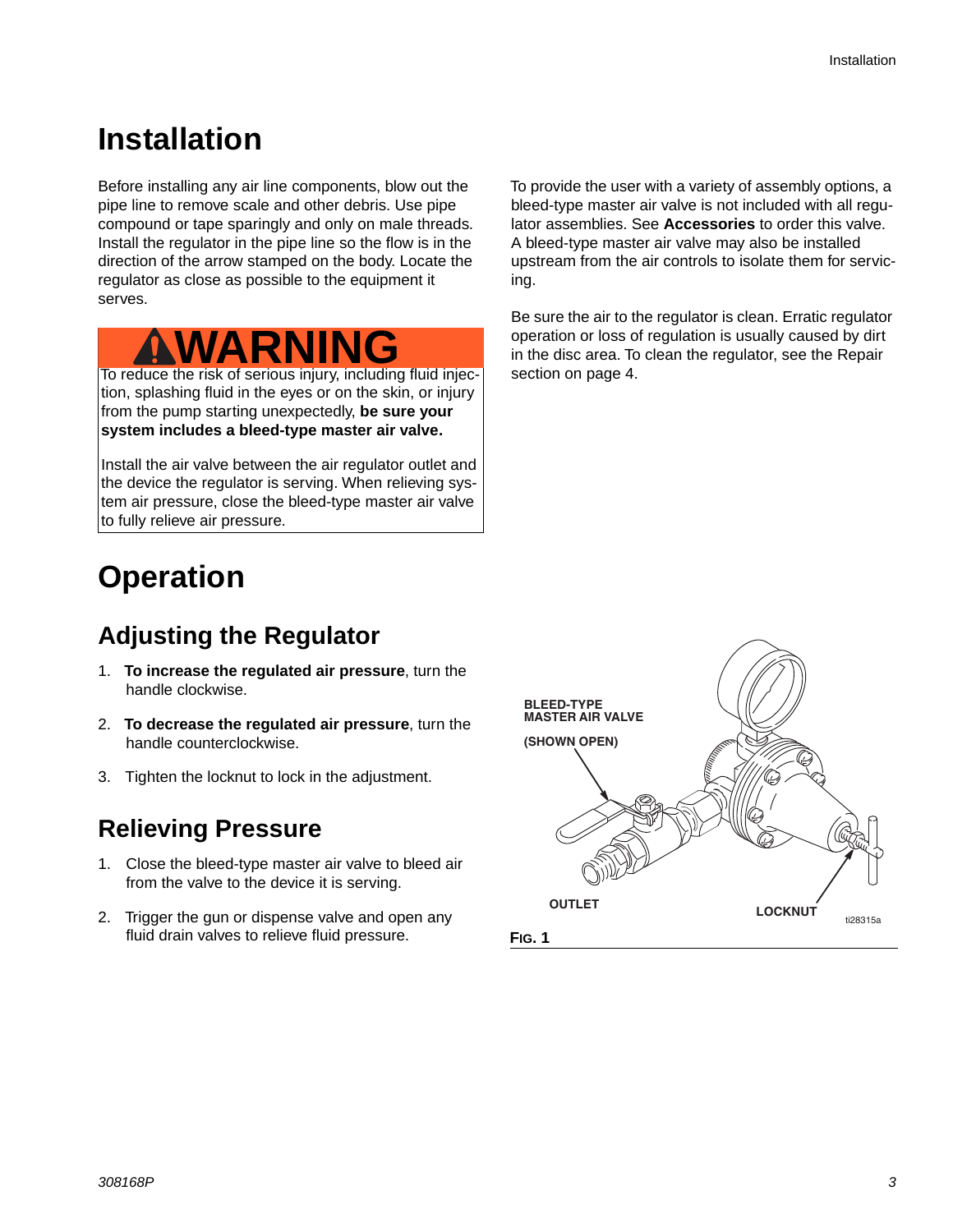### **Installation**

Before installing any air line components, blow out the pipe line to remove scale and other debris. Use pipe compound or tape sparingly and only on male threads. Install the regulator in the pipe line so the flow is in the direction of the arrow stamped on the body. Locate the regulator as close as possible to the equipment it serves.

# **WARNI**

To reduce the risk of serious injury, including fluid injection, splashing fluid in the eyes or on the skin, or injury from the pump starting unexpectedly, **be sure your system includes a bleed-type master air valve.**

Install the air valve between the air regulator outlet and the device the regulator is serving. When relieving system air pressure, close the bleed-type master air valve to fully relieve air pressure.

### <span id="page-2-0"></span>**Operation**

### **Adjusting the Regulator**

- 1. **To increase the regulated air pressure**, turn the handle clockwise.
- 2. **To decrease the regulated air pressure**, turn the handle counterclockwise.
- 3. Tighten the locknut to lock in the adjustment.

### **Relieving Pressure**

- 1. Close the bleed-type master air valve to bleed air from the valve to the device it is serving.
- 2. Trigger the gun or dispense valve and open any fluid drain valves to relieve fluid pressure.

To provide the user with a variety of assembly options, a bleed-type master air valve is not included with all regulator assemblies. See **Accessories** to order this valve. A bleed-type master air valve may also be installed upstream from the air controls to isolate them for servicing.

Be sure the air to the regulator is clean. Erratic regulator operation or loss of regulation is usually caused by dirt in the disc area. To clean the regulator, see the Repair section on page [4](#page-3-0).

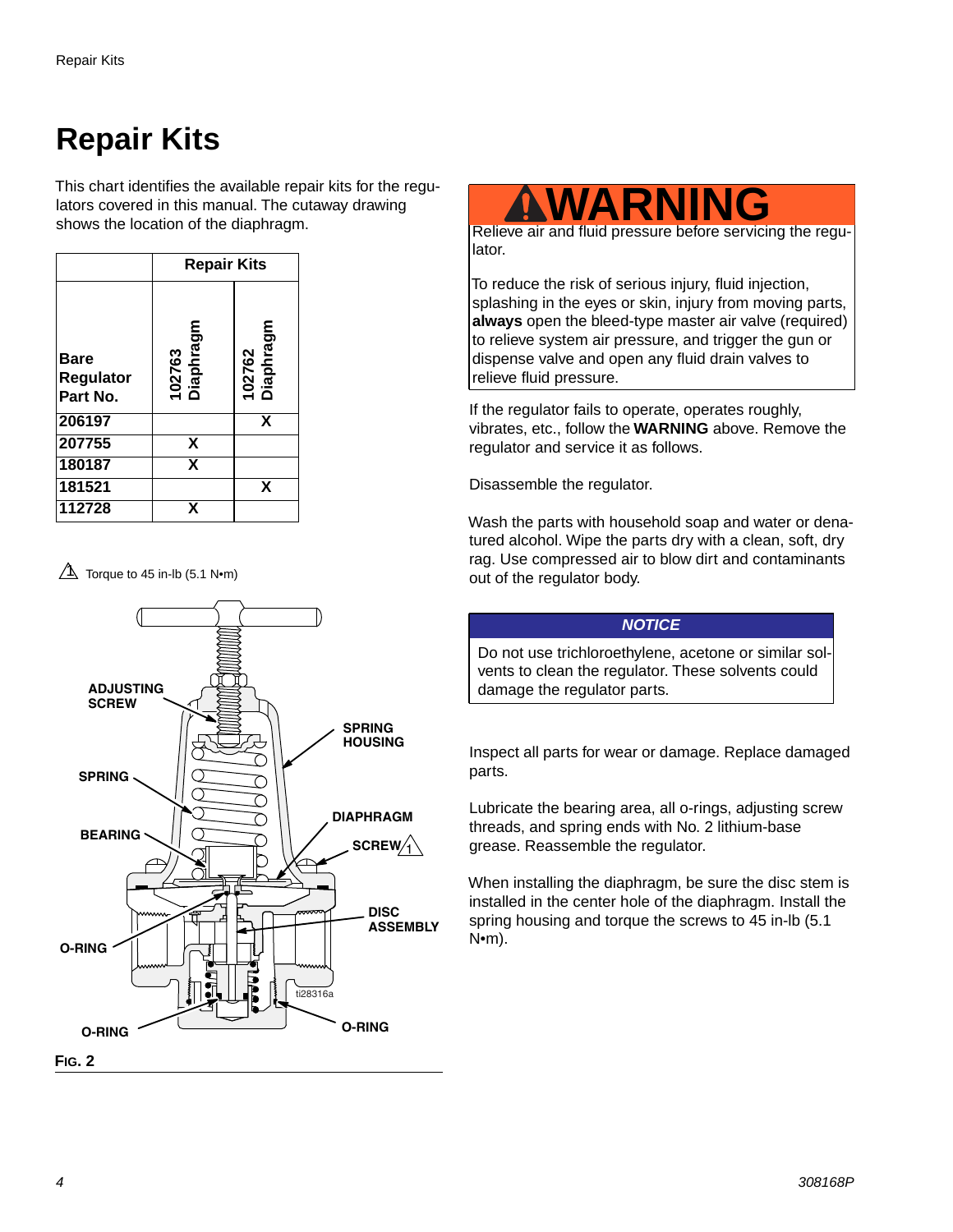## <span id="page-3-0"></span>**Repair Kits**

This chart identifies the available repair kits for the regulators covered in this manual. The cutaway drawing shows the location of the diaphragm.

|                                      | <b>Repair Kits</b>      |                     |  |  |
|--------------------------------------|-------------------------|---------------------|--|--|
| <b>Bare</b><br>Regulator<br>Part No. | 102763<br>Diaphragm     | 102762<br>Diaphragm |  |  |
| 206197                               |                         | X                   |  |  |
| 207755                               | X                       |                     |  |  |
| 180187                               | $\overline{\mathbf{x}}$ |                     |  |  |
| 181521                               |                         | X                   |  |  |
| 112728                               | x                       |                     |  |  |

 $\Delta$  Torque to 45 in-lb (5.1 N•m)





lator.

To reduce the risk of serious injury, fluid injection, splashing in the eyes or skin, injury from moving parts, **always** open the bleed-type master air valve (required) to relieve system air pressure, and trigger the gun or dispense valve and open any fluid drain valves to relieve fluid pressure.

If the regulator fails to operate, operates roughly, vibrates, etc., follow the **WARNING** above. Remove the regulator and service it as follows.

Disassemble the regulator.

Wash the parts with household soap and water or denatured alcohol. Wipe the parts dry with a clean, soft, dry rag. Use compressed air to blow dirt and contaminants out of the regulator body.

Do not use trichloroethylene, acetone or similar solvents to clean the regulator. These solvents could damage the regulator parts.

*NOTICE*

Inspect all parts for wear or damage. Replace damaged parts.

Lubricate the bearing area, all o-rings, adjusting screw threads, and spring ends with No. 2 lithium-base grease. Reassemble the regulator.

When installing the diaphragm, be sure the disc stem is installed in the center hole of the diaphragm. Install the spring housing and torque the screws to 45 in-lb (5.1 N•m).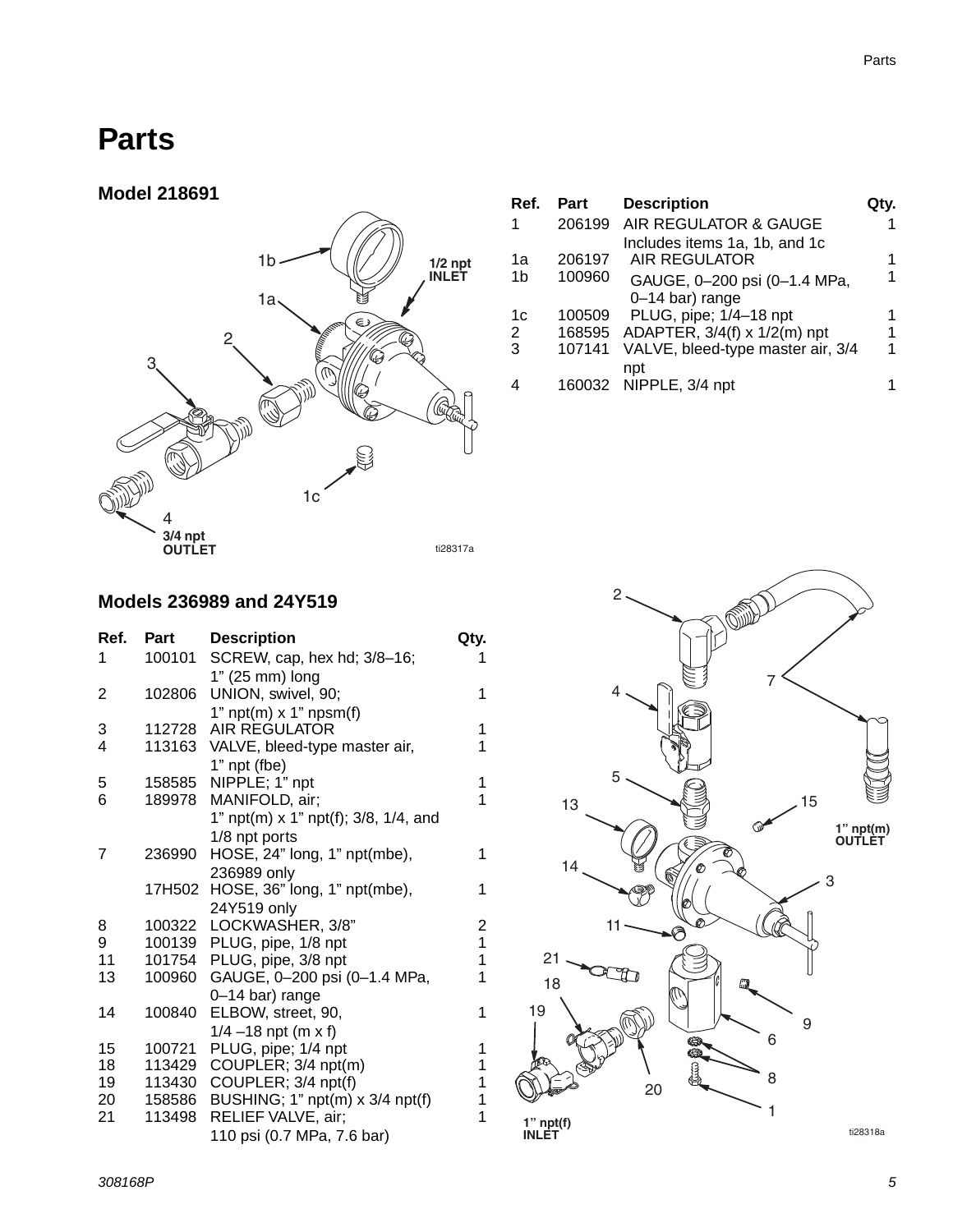### <span id="page-4-0"></span>**Parts**



| Ref. | Part   | <b>Description</b>                |   |
|------|--------|-----------------------------------|---|
| 1    | 206199 | AIR REGULATOR & GAUGE             |   |
|      |        | Includes items 1a, 1b, and 1c     |   |
| 1a   | 206197 | <b>AIR REGULATOR</b>              |   |
| 1b   | 100960 | GAUGE, 0-200 psi (0-1.4 MPa,      |   |
|      |        | 0-14 bar) range                   |   |
| 1c   | 100509 | PLUG, pipe; 1/4-18 npt            |   |
| 2    | 168595 | ADAPTER, 3/4(f) x 1/2(m) npt      |   |
| 3    | 107141 | VALVE, bleed-type master air, 3/4 | 1 |
|      |        | npt<br>160032 NIPPLE, 3/4 npt     |   |

#### **Models 236989 and 24Y519**

| Ref. | Part   | <b>Description</b>                   | Qty.                    |
|------|--------|--------------------------------------|-------------------------|
| 1    | 100101 | SCREW, cap, hex hd; 3/8-16;          | 1                       |
|      |        | 1" (25 mm) long                      |                         |
| 2    | 102806 | UNION, swivel, 90;                   | 1                       |
|      |        | 1" $npt(m)$ x 1" $npsm(f)$           |                         |
| 3    | 112728 | <b>AIR REGULATOR</b>                 | 1                       |
| 4    | 113163 | VALVE, bleed-type master air,        | 1                       |
|      |        | 1" npt (fbe)                         |                         |
| 5    | 158585 | NIPPLE; 1" npt                       | 1                       |
| 6    | 189978 | MANIFOLD, air;                       | 1                       |
|      |        | 1" npt(m) x 1" npt(f); 3/8, 1/4, and |                         |
|      |        | 1/8 npt ports                        |                         |
| 7    | 236990 | HOSE, 24" long, 1" npt(mbe),         | 1                       |
|      |        | 236989 only                          |                         |
|      | 17H502 | HOSE, 36" long, 1" npt(mbe),         | 1                       |
|      |        | 24Y519 only                          |                         |
| 8    | 100322 | LOCKWASHER, 3/8"                     | $\overline{\mathbf{c}}$ |
| 9    | 100139 | PLUG, pipe, 1/8 npt                  | 1                       |
| 11   | 101754 | PLUG, pipe, 3/8 npt                  | $\overline{1}$          |
| 13   | 100960 | GAUGE, 0-200 psi (0-1.4 MPa,         | 1                       |
|      |        | 0-14 bar) range                      |                         |
| 14   | 100840 | ELBOW, street, 90,                   | 1                       |
|      |        | $1/4 - 18$ npt (m x f)               |                         |
| 15   | 100721 | PLUG, pipe; 1/4 npt                  | 1                       |
| 18   | 113429 | COUPLER; 3/4 npt(m)                  | 1                       |
| 19   | 113430 | COUPLER; 3/4 npt(f)                  | 1                       |
| 20   | 158586 | BUSHING; 1" npt(m) x 3/4 npt(f)      | 1                       |
| 21   | 113498 | RELIEF VALVE, air;                   | 1                       |
|      |        | 110 psi (0.7 MPa, 7.6 bar)           |                         |
|      |        |                                      |                         |



1

1

1

1

1

1

ti28318a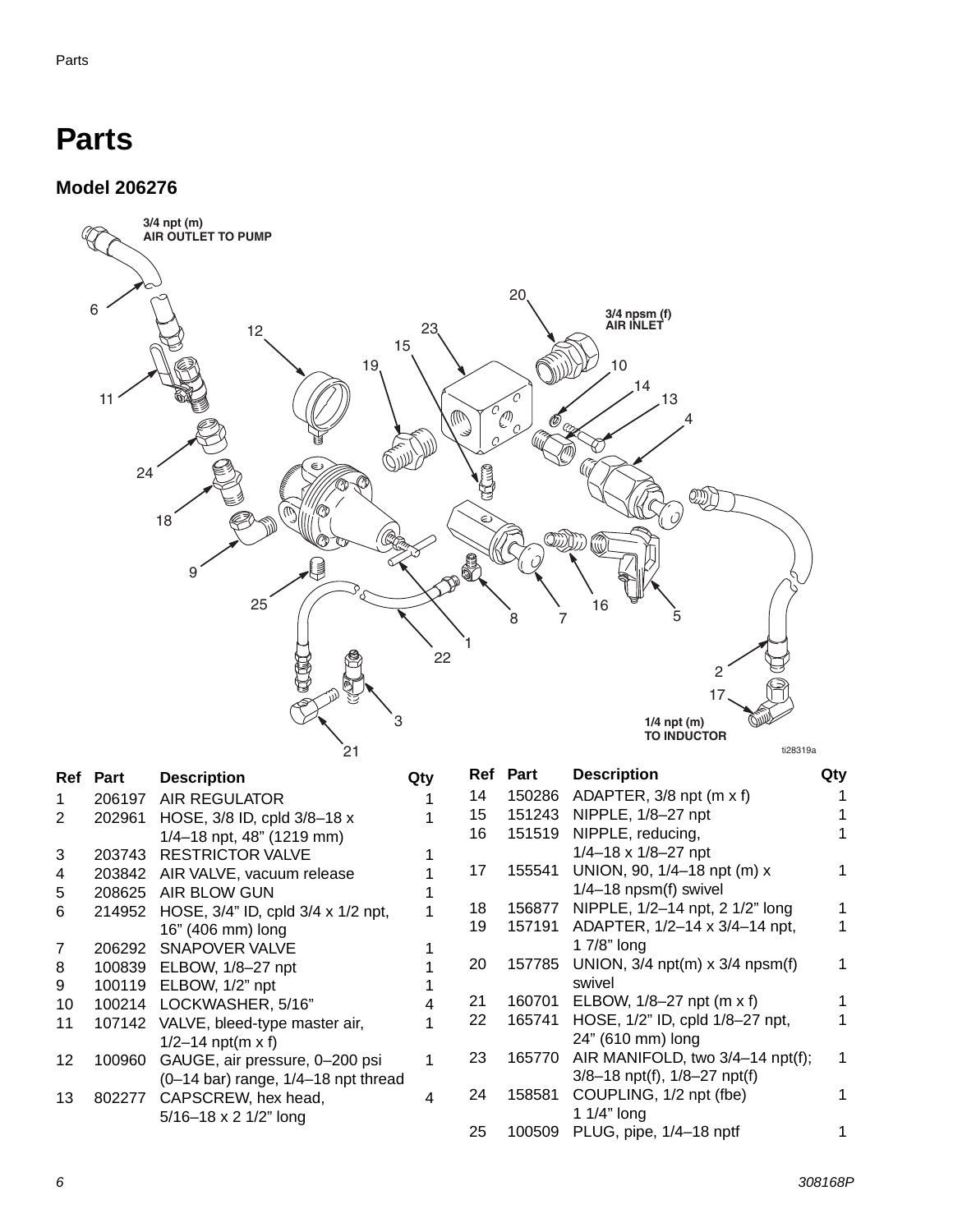### **Parts**

**Model 206276**



|        | <b>Description</b>                    | Qty                      |                                         |        | <b>Description</b>                   | Qtv                                                                                                                                         |
|--------|---------------------------------------|--------------------------|-----------------------------------------|--------|--------------------------------------|---------------------------------------------------------------------------------------------------------------------------------------------|
| 206197 | AIR REGULATOR                         |                          | 14                                      |        |                                      |                                                                                                                                             |
| 202961 | HOSE, 3/8 ID, cpld 3/8-18 x           |                          | 15                                      |        | NIPPLE, 1/8-27 npt                   |                                                                                                                                             |
|        | 1/4-18 npt, 48" (1219 mm)             |                          | 16                                      | 151519 | NIPPLE, reducing,                    |                                                                                                                                             |
| 203743 | <b>RESTRICTOR VALVE</b>               |                          |                                         |        | $1/4 - 18 \times 1/8 - 27$ npt       |                                                                                                                                             |
| 203842 | AIR VALVE, vacuum release             |                          | 17                                      |        | UNION, 90, 1/4-18 npt (m) x          |                                                                                                                                             |
| 208625 | AIR BLOW GUN                          |                          |                                         |        | $1/4 - 18$ npsm(f) swivel            |                                                                                                                                             |
| 214952 | HOSE, 3/4" ID, cpld 3/4 x 1/2 npt,    |                          | 18                                      |        | NIPPLE, 1/2-14 npt, 2 1/2" long      |                                                                                                                                             |
|        | 16" (406 mm) long                     |                          | 19                                      | 157191 | ADAPTER, 1/2-14 x 3/4-14 npt,        |                                                                                                                                             |
| 206292 | <b>SNAPOVER VALVE</b>                 |                          |                                         |        | 1 $7/8$ " long                       |                                                                                                                                             |
| 100839 | ELBOW, 1/8-27 npt                     |                          | 20                                      | 157785 | UNION, $3/4$ npt(m) x $3/4$ npsm(f)  |                                                                                                                                             |
| 100119 | ELBOW, 1/2" npt                       |                          |                                         |        | swivel                               |                                                                                                                                             |
|        |                                       |                          | 21                                      | 160701 | ELBOW, 1/8-27 npt (m x f)            |                                                                                                                                             |
| 107142 | VALVE, bleed-type master air,         |                          | 22                                      |        |                                      |                                                                                                                                             |
|        | $1/2 - 14$ npt(m x f)                 |                          |                                         |        | 24" (610 mm) long                    |                                                                                                                                             |
| 100960 | GAUGE, air pressure, 0-200 psi        |                          | 23                                      | 165770 |                                      |                                                                                                                                             |
|        |                                       |                          |                                         |        | $3/8 - 18$ npt(f), $1/8 - 27$ npt(f) |                                                                                                                                             |
| 802277 | CAPSCREW, hex head,                   | 4                        | 24                                      | 158581 | COUPLING, 1/2 npt (fbe)              |                                                                                                                                             |
|        | $5/16 - 18 \times 2 \frac{1}{2}$ long |                          |                                         |        | 1 1/4" long                          |                                                                                                                                             |
|        |                                       |                          | 25                                      | 100509 | PLUG, pipe, 1/4-18 nptf              |                                                                                                                                             |
|        | Ref Part                              | 100214 LOCKWASHER, 5/16" | $(0-14$ bar) range, $1/4-18$ npt thread |        | Ref Part                             | 150286 ADAPTER, 3/8 npt (m x f)<br>151243<br>155541<br>156877<br>165741 HOSE, 1/2" ID, cpld 1/8-27 npt,<br>AIR MANIFOLD, two 3/4-14 npt(f); |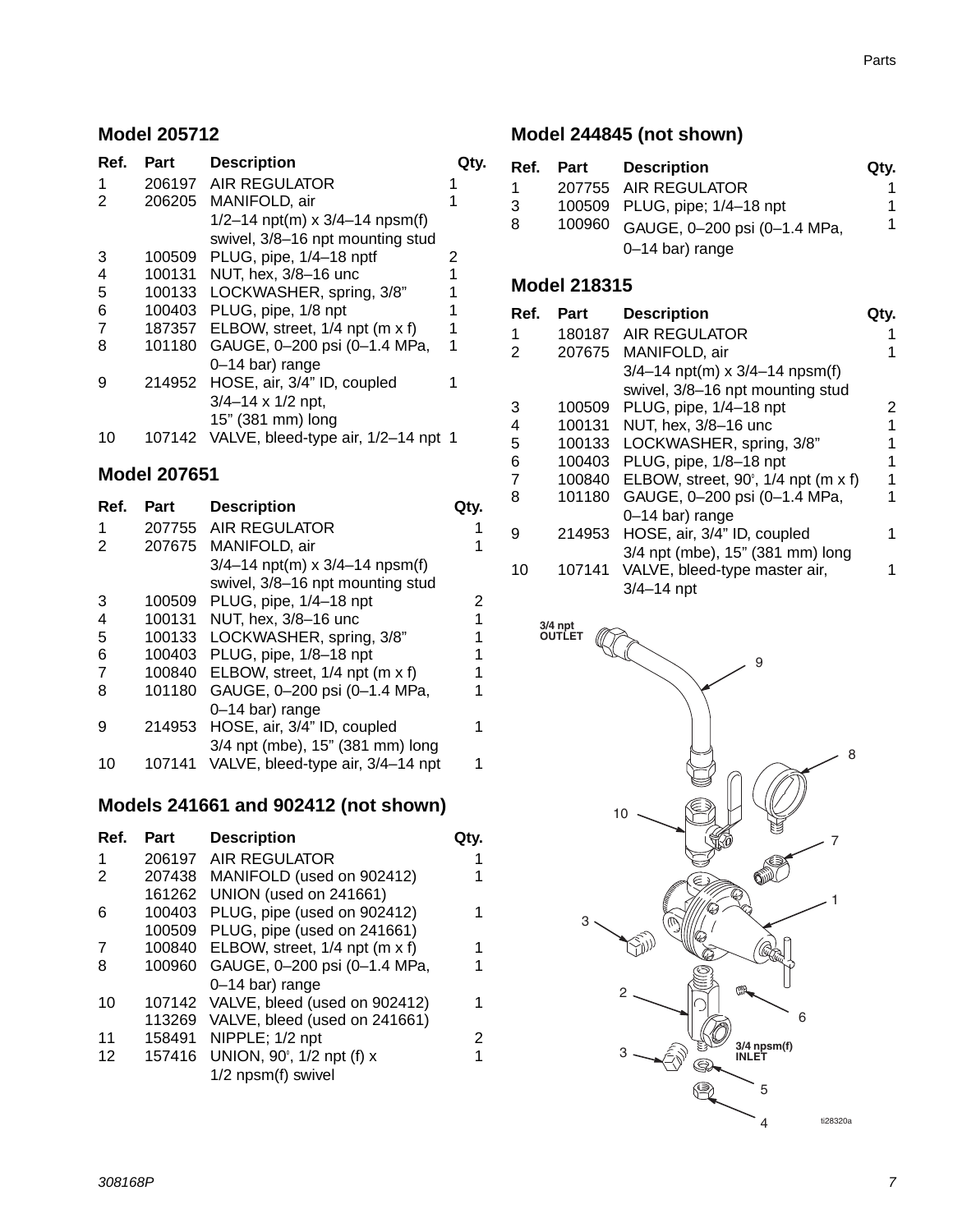#### **Model 205712**

| Ref. | Part   | <b>Description</b>                         |   |
|------|--------|--------------------------------------------|---|
| 1    | 206197 | AIR REGULATOR                              |   |
| 2    | 206205 | MANIFOLD, air                              |   |
|      |        | $1/2 - 14$ npt(m) x $3/4 - 14$ npsm(f)     |   |
|      |        | swivel, 3/8-16 npt mounting stud           |   |
| 3    | 100509 | PLUG, pipe, 1/4-18 nptf                    | 2 |
| 4    | 100131 | NUT, hex, 3/8-16 unc                       |   |
| 5    | 100133 | LOCKWASHER, spring, 3/8"                   |   |
| 6    | 100403 | PLUG, pipe, 1/8 npt                        |   |
| 7    | 187357 | ELBOW, street, 1/4 npt (m x f)             |   |
| 8    | 101180 | GAUGE, 0-200 psi (0-1.4 MPa,               | 1 |
|      |        | 0-14 bar) range                            |   |
| 9    |        | 214952 HOSE, air, 3/4" ID, coupled         |   |
|      |        | $3/4 - 14 \times 1/2$ npt,                 |   |
|      |        | 15" (381 mm) long                          |   |
| 10   |        | 107142 VALVE, bleed-type air, 1/2-14 npt 1 |   |

#### **Model 207651**

| Ref. | Part   | <b>Description</b>                     |   |
|------|--------|----------------------------------------|---|
| 1    | 207755 | <b>AIR REGULATOR</b>                   |   |
| 2    | 207675 | MANIFOLD, air                          | 1 |
|      |        | $3/4 - 14$ npt(m) x $3/4 - 14$ npsm(f) |   |
|      |        | swivel, 3/8-16 npt mounting stud       |   |
| 3    | 100509 | PLUG, pipe, 1/4-18 npt                 | 2 |
| 4    | 100131 | NUT, hex, 3/8-16 unc                   | 1 |
| 5    | 100133 | LOCKWASHER, spring, 3/8"               | 1 |
| 6    | 100403 | PLUG, pipe, 1/8-18 npt                 | 1 |
| 7    | 100840 | ELBOW, street, 1/4 npt (m x f)         | 1 |
| 8    | 101180 | GAUGE, 0-200 psi (0-1.4 MPa,           | 1 |
|      |        | 0-14 bar) range                        |   |
| 9    | 214953 | HOSE, air, 3/4" ID, coupled            | 1 |
|      |        | 3/4 npt (mbe), 15" (381 mm) long       |   |
| 10   | 107141 | VALVE, bleed-type air, 3/4-14 npt      | 1 |

#### <span id="page-6-0"></span>**Models 241661 and 902412 (not shown)**

| Ref. | Part   | <b>Description</b>             |   |
|------|--------|--------------------------------|---|
| 1    | 206197 | AIR REGULATOR                  | 1 |
|      | 207438 | MANIFOLD (used on 902412)      |   |
|      | 161262 | UNION (used on 241661)         |   |
| 6    | 100403 | PLUG, pipe (used on 902412)    | 1 |
|      | 100509 | PLUG, pipe (used on 241661)    |   |
| 7    | 100840 | ELBOW, street, 1/4 npt (m x f) | 1 |
| 8    | 100960 | GAUGE, 0-200 psi (0-1.4 MPa,   | 1 |
|      |        | 0-14 bar) range                |   |
| 10   | 107142 | VALVE, bleed (used on 902412)  | 1 |
|      | 113269 | VALVE, bleed (used on 241661)  |   |
| 11   | 158491 | NIPPLE; 1/2 npt                | 2 |
| 12   | 157416 | UNION, 90°, 1/2 npt (f) x      | 1 |
|      |        | 1/2 npsm(f) swivel             |   |
|      |        |                                |   |

#### **Model 244845 (not shown)**

| Ref. | Part | Description                         | Qty. |
|------|------|-------------------------------------|------|
| 1.   |      | 207755 AIR REGULATOR                |      |
| 3    |      | 100509 PLUG, pipe; 1/4-18 npt       |      |
| 8    |      | 100960 GAUGE, 0-200 psi (0-1.4 MPa, |      |
|      |      | $0-14$ bar) range                   |      |

#### **Model 218315**

| Ref. | Part   | <b>Description</b>                     | Qtv. |
|------|--------|----------------------------------------|------|
| 1    | 180187 | AIR REGULATOR                          |      |
| 2    | 207675 | MANIFOLD, air                          |      |
|      |        | $3/4 - 14$ npt(m) x $3/4 - 14$ npsm(f) |      |
|      |        | swivel, 3/8-16 npt mounting stud       |      |
| 3    | 100509 | PLUG, pipe, 1/4-18 npt                 | 2    |
| 4    | 100131 | NUT, hex, 3/8-16 unc                   |      |
| 5    | 100133 | LOCKWASHER, spring, 3/8"               |      |
| 6    | 100403 | PLUG, pipe, 1/8-18 npt                 | 1    |
| 7    | 100840 | ELBOW, street, 90°, 1/4 npt (m x f)    |      |
| 8    | 101180 | GAUGE, 0-200 psi (0-1.4 MPa,           |      |
|      |        | 0-14 bar) range                        |      |
| 9    | 214953 | HOSE, air, 3/4" ID, coupled            |      |
|      |        | 3/4 npt (mbe), 15" (381 mm) long       |      |
| 10   | 107141 | VALVE, bleed-type master air,          |      |
|      |        | $3/4 - 14$ npt                         |      |

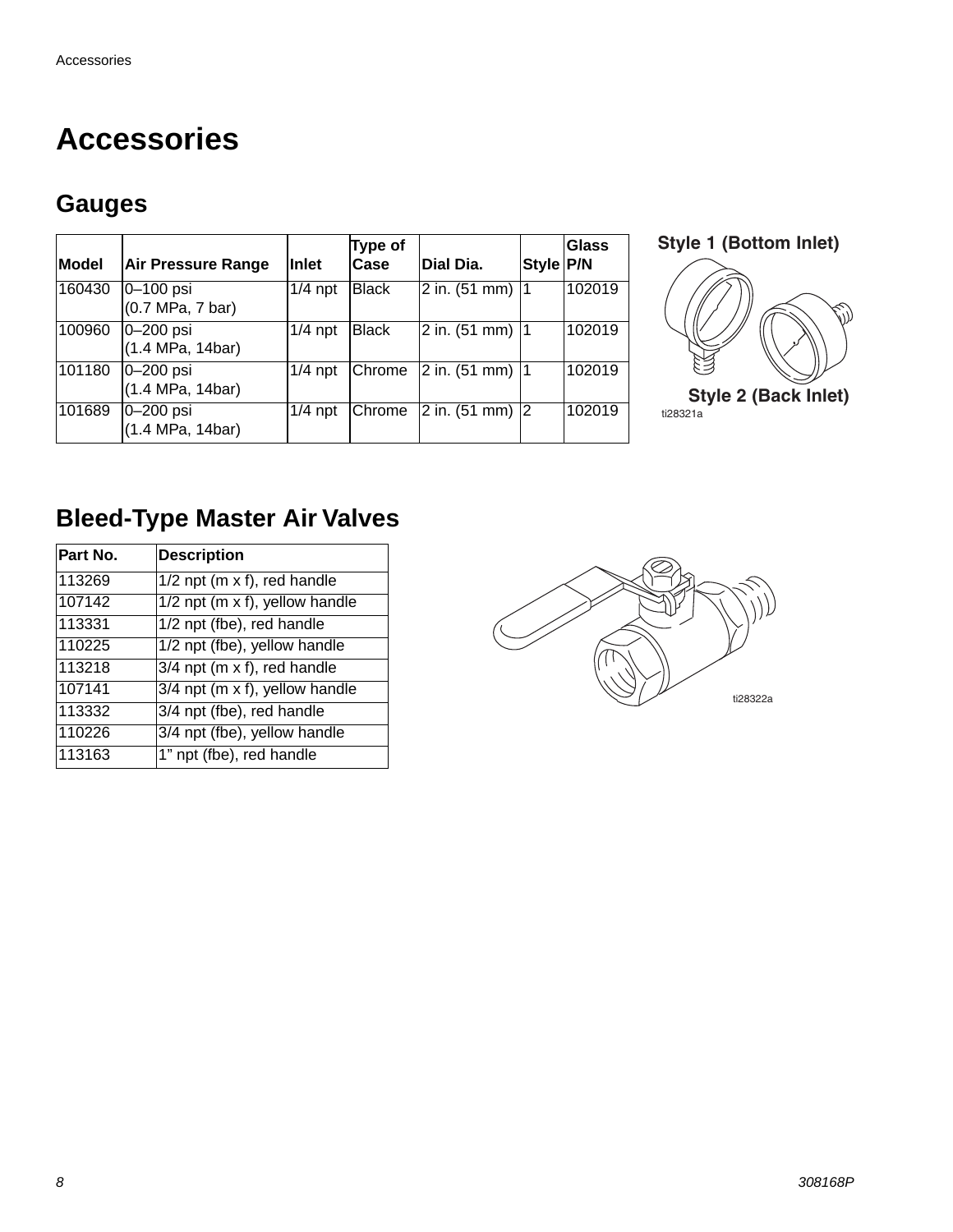### <span id="page-7-0"></span>**Accessories**

### **Gauges**

| Model  | Air Pressure Range                 | Inlet     | <b>Type of</b><br>Case | Dial Dia.                         | <b>Style P/N</b> | Glass  |
|--------|------------------------------------|-----------|------------------------|-----------------------------------|------------------|--------|
| 160430 | 0–100 psi<br>(0.7 MPa, 7 bar)      | $1/4$ npt | <b>Black</b>           | $ 2$ in. (51 mm) $ 1$             |                  | 102019 |
| 100960 | $ 0 - 200$ psi<br>(1.4 MPa, 14bar) | $1/4$ npt | <b>Black</b>           | $2$ in. (51 mm) $ 1$              |                  | 102019 |
| 101180 | $ 0 - 200$ psi<br>(1.4 MPa, 14bar) | $1/4$ npt | <b>Chrome</b>          | $ 2$ in. (51 mm) $ 1$             |                  | 102019 |
| 101689 | $ 0 - 200$ psi<br>(1.4 MPa, 14bar) | $1/4$ npt | Chrome                 | $\sqrt{2}$ in. (51 mm) $\sqrt{2}$ |                  | 102019 |



### **Bleed-Type Master Air Valves**

| Part No. | <b>Description</b>               |
|----------|----------------------------------|
| 113269   | $1/2$ npt (m x f), red handle    |
| 107142   | $1/2$ npt (m x f), yellow handle |
| 113331   | 1/2 npt (fbe), red handle        |
| 110225   | 1/2 npt (fbe), yellow handle     |
| 113218   | $3/4$ npt (m x f), red handle    |
| 107141   | 3/4 npt (m x f), yellow handle   |
| 113332   | 3/4 npt (fbe), red handle        |
| 110226   | 3/4 npt (fbe), yellow handle     |
| 113163   | 1" npt (fbe), red handle         |

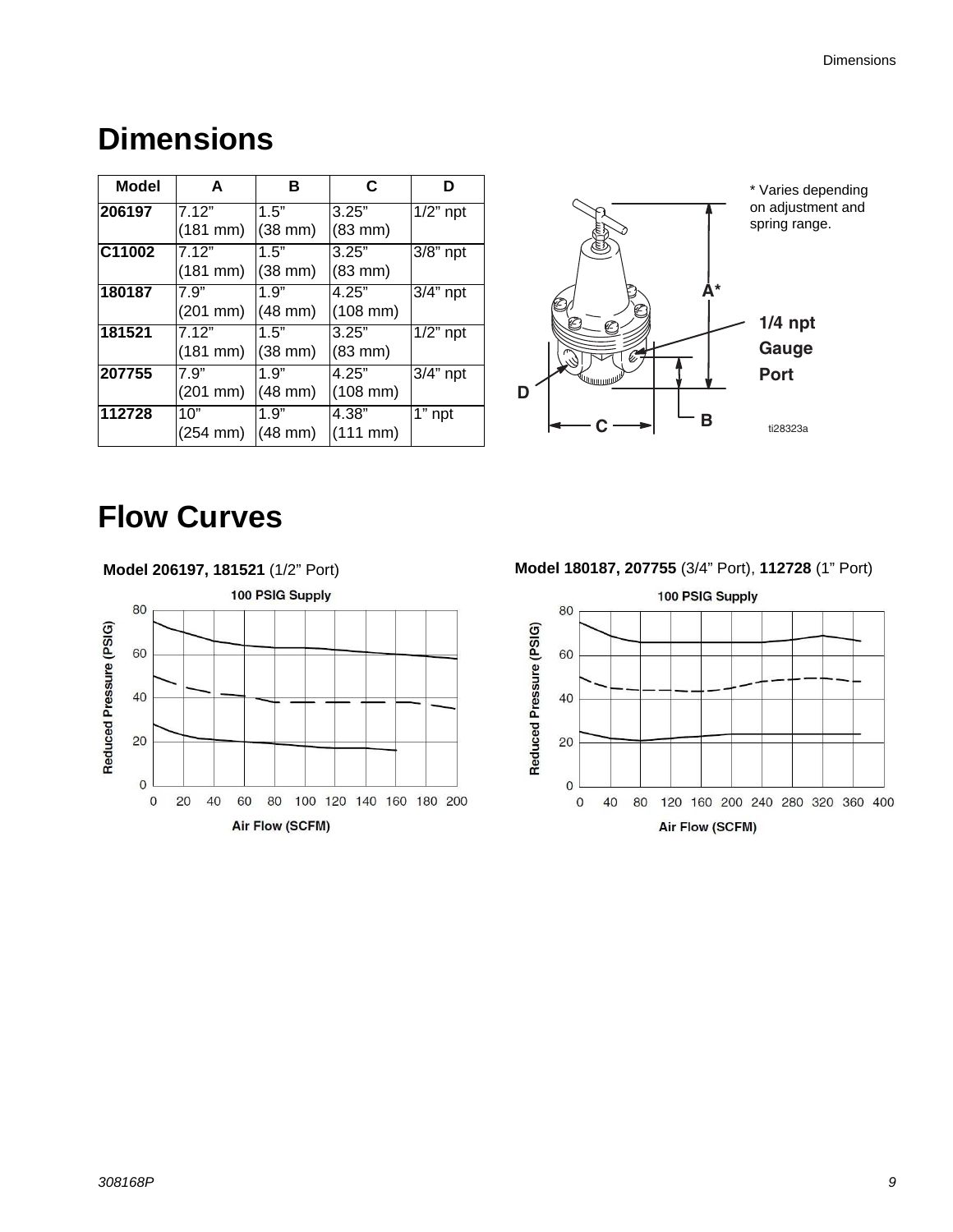### **Dimensions**

| Model  | A                  | в                  | C                    | D           |
|--------|--------------------|--------------------|----------------------|-------------|
| 206197 | 7.12"              | 1.5"               | 3.25"                | $1/2$ " npt |
|        | (181 mm)           | $(38 \text{ mm})$  | $(83$ mm $)$         |             |
| C11002 | 7.12"              | 1.5"               | 3.25"                | 3/8" npt    |
|        | (181 mm)           | (38 mm)            | $(83$ mm $)$         |             |
| 180187 | 7.9"               | 1.9"               | 4.25"                | 3/4" npt    |
|        | $(201 \text{ mm})$ | $ (48 \text{ mm})$ | $(108 \, \text{mm})$ |             |
| 181521 | 7.12"              | 1.5"               | 3.25"                | $1/2$ " npt |
|        | $(181 \text{ mm})$ | (38 mm)            | $(83$ mm $)$         |             |
| 207755 | 7.9"               | 1.9"               | 4.25"                | $3/4"$ npt  |
|        | $(201$ mm $)$      | $(48$ mm $)$       | $(108$ mm)           |             |
| 112728 | 10"                | 1.9"               | 4.38"                | $1"$ npt    |
|        | (254 mm)           | $(48$ mm)          | $(111 \, \text{mm})$ |             |



# <span id="page-8-0"></span>**Flow Curves**